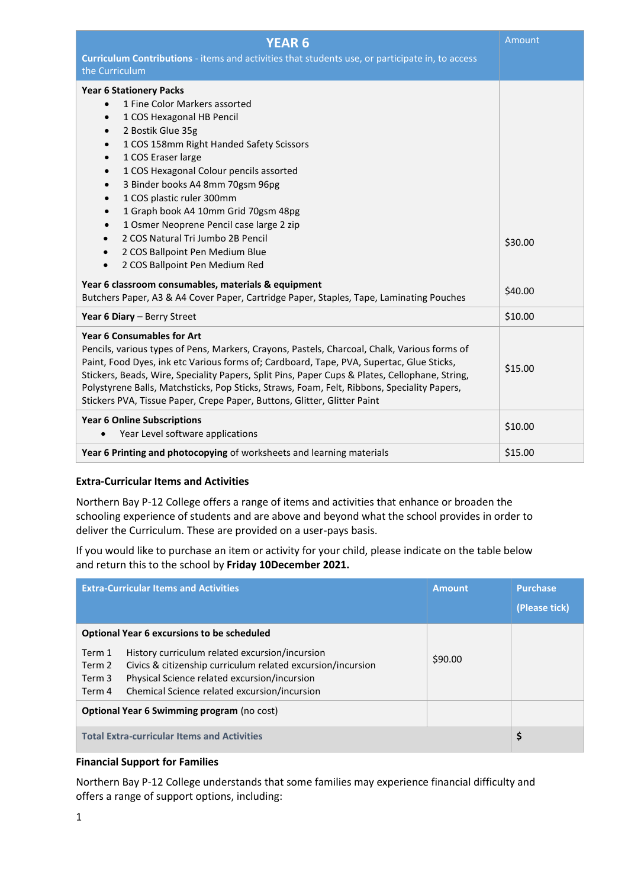| <b>YEAR 6</b>                                                                                                                                                                                                                                                                                                                                                                                                                                                                                                                                              | Amount             |
|------------------------------------------------------------------------------------------------------------------------------------------------------------------------------------------------------------------------------------------------------------------------------------------------------------------------------------------------------------------------------------------------------------------------------------------------------------------------------------------------------------------------------------------------------------|--------------------|
| Curriculum Contributions - items and activities that students use, or participate in, to access<br>the Curriculum                                                                                                                                                                                                                                                                                                                                                                                                                                          |                    |
| <b>Year 6 Stationery Packs</b><br>1 Fine Color Markers assorted<br>$\bullet$<br>1 COS Hexagonal HB Pencil<br>$\bullet$<br>2 Bostik Glue 35g<br>$\bullet$<br>1 COS 158mm Right Handed Safety Scissors<br>$\bullet$<br>1 COS Eraser large<br>$\bullet$<br>1 COS Hexagonal Colour pencils assorted<br>$\bullet$<br>3 Binder books A4 8mm 70gsm 96pg<br>$\bullet$<br>1 COS plastic ruler 300mm<br>$\bullet$<br>1 Graph book A4 10mm Grid 70gsm 48pg<br>$\bullet$<br>1 Osmer Neoprene Pencil case large 2 zip<br>$\bullet$<br>2 COS Natural Tri Jumbo 2B Pencil |                    |
| 2 COS Ballpoint Pen Medium Blue<br>2 COS Ballpoint Pen Medium Red<br>Year 6 classroom consumables, materials & equipment                                                                                                                                                                                                                                                                                                                                                                                                                                   | \$30.00<br>\$40.00 |
| Butchers Paper, A3 & A4 Cover Paper, Cartridge Paper, Staples, Tape, Laminating Pouches<br>Year 6 Diary - Berry Street                                                                                                                                                                                                                                                                                                                                                                                                                                     | \$10.00            |
| <b>Year 6 Consumables for Art</b><br>Pencils, various types of Pens, Markers, Crayons, Pastels, Charcoal, Chalk, Various forms of<br>Paint, Food Dyes, ink etc Various forms of; Cardboard, Tape, PVA, Supertac, Glue Sticks,<br>Stickers, Beads, Wire, Speciality Papers, Split Pins, Paper Cups & Plates, Cellophane, String,<br>Polystyrene Balls, Matchsticks, Pop Sticks, Straws, Foam, Felt, Ribbons, Speciality Papers,<br>Stickers PVA, Tissue Paper, Crepe Paper, Buttons, Glitter, Glitter Paint                                                 | \$15.00            |
| <b>Year 6 Online Subscriptions</b><br>Year Level software applications<br>$\bullet$                                                                                                                                                                                                                                                                                                                                                                                                                                                                        | \$10.00            |
| Year 6 Printing and photocopying of worksheets and learning materials                                                                                                                                                                                                                                                                                                                                                                                                                                                                                      | \$15.00            |

## **Extra-Curricular Items and Activities**

Northern Bay P-12 College offers a range of items and activities that enhance or broaden the schooling experience of students and are above and beyond what the school provides in order to deliver the Curriculum. These are provided on a user-pays basis.

If you would like to purchase an item or activity for your child, please indicate on the table below and return this to the school by **Friday 10December 2021.**

|                                                    | <b>Extra-Curricular Items and Activities</b>                                                                                                                                                                  | <b>Amount</b> | <b>Purchase</b><br>(Please tick) |  |
|----------------------------------------------------|---------------------------------------------------------------------------------------------------------------------------------------------------------------------------------------------------------------|---------------|----------------------------------|--|
| <b>Optional Year 6 excursions to be scheduled</b>  |                                                                                                                                                                                                               |               |                                  |  |
| Term 1<br>Term 2<br>Term 3<br>Term 4               | History curriculum related excursion/incursion<br>Civics & citizenship curriculum related excursion/incursion<br>Physical Science related excursion/incursion<br>Chemical Science related excursion/incursion | \$90.00       |                                  |  |
| <b>Optional Year 6 Swimming program (no cost)</b>  |                                                                                                                                                                                                               |               |                                  |  |
| <b>Total Extra-curricular Items and Activities</b> |                                                                                                                                                                                                               |               |                                  |  |

### **Financial Support for Families**

Northern Bay P-12 College understands that some families may experience financial difficulty and offers a range of support options, including: